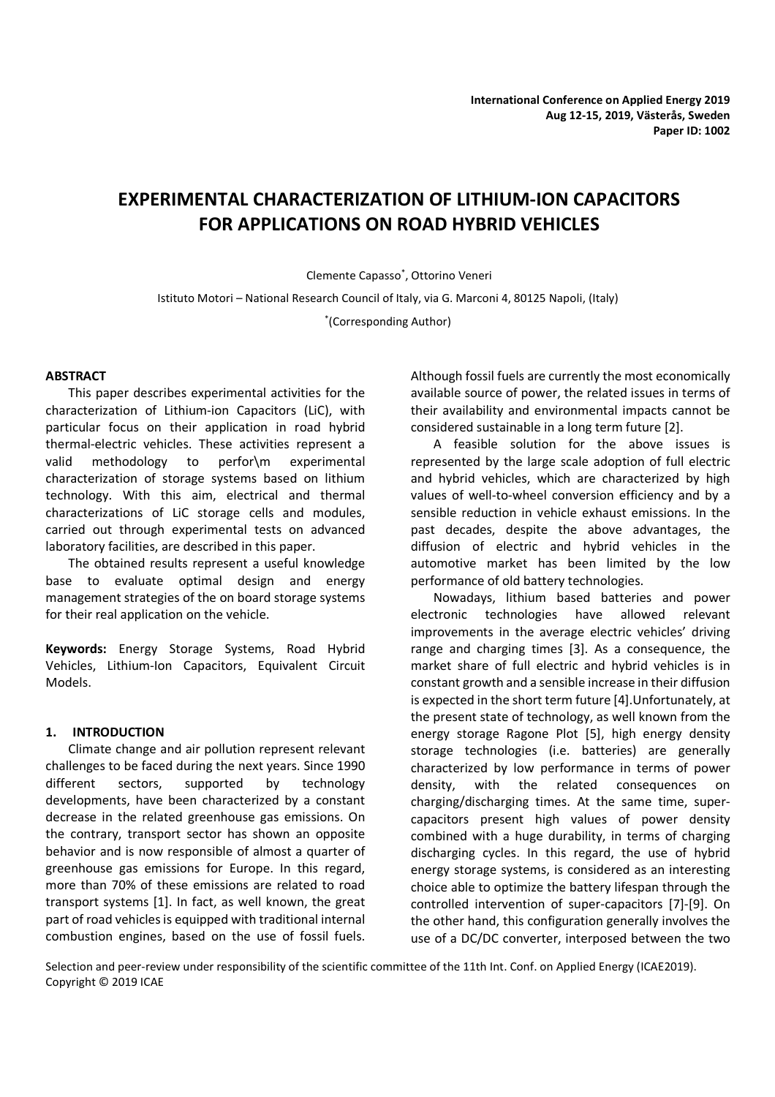# **EXPERIMENTAL CHARACTERIZATION OF LITHIUM-ION CAPACITORS FOR APPLICATIONS ON ROAD HYBRID VEHICLES**

Clemente Capasso\* , Ottorino Veneri

Istituto Motori – National Research Council of Italy, via G. Marconi 4, 80125 Napoli, (Italy)

\* (Corresponding Author)

# **ABSTRACT**

This paper describes experimental activities for the characterization of Lithium-ion Capacitors (LiC), with particular focus on their application in road hybrid thermal-electric vehicles. These activities represent a valid methodology to perfor\m experimental characterization of storage systems based on lithium technology. With this aim, electrical and thermal characterizations of LiC storage cells and modules, carried out through experimental tests on advanced laboratory facilities, are described in this paper.

The obtained results represent a useful knowledge base to evaluate optimal design and energy management strategies of the on board storage systems for their real application on the vehicle.

**Keywords:** Energy Storage Systems, Road Hybrid Vehicles, Lithium-Ion Capacitors, Equivalent Circuit Models.

# **1. INTRODUCTION**

Climate change and air pollution represent relevant challenges to be faced during the next years. Since 1990 different sectors, supported by technology developments, have been characterized by a constant decrease in the related greenhouse gas emissions. On the contrary, transport sector has shown an opposite behavior and is now responsible of almost a quarter of greenhouse gas emissions for Europe. In this regard, more than 70% of these emissions are related to road transport systems [1]. In fact, as well known, the great part of road vehicles is equipped with traditional internal combustion engines, based on the use of fossil fuels.

Although fossil fuels are currently the most economically available source of power, the related issues in terms of their availability and environmental impacts cannot be considered sustainable in a long term future [2].

A feasible solution for the above issues is represented by the large scale adoption of full electric and hybrid vehicles, which are characterized by high values of well-to-wheel conversion efficiency and by a sensible reduction in vehicle exhaust emissions. In the past decades, despite the above advantages, the diffusion of electric and hybrid vehicles in the automotive market has been limited by the low performance of old battery technologies.

Nowadays, lithium based batteries and power electronic technologies have allowed relevant improvements in the average electric vehicles' driving range and charging times [3]. As a consequence, the market share of full electric and hybrid vehicles is in constant growth and a sensible increase in their diffusion is expected in the short term future [4].Unfortunately, at the present state of technology, as well known from the energy storage Ragone Plot [5], high energy density storage technologies (i.e. batteries) are generally characterized by low performance in terms of power density, with the related consequences on charging/discharging times. At the same time, supercapacitors present high values of power density combined with a huge durability, in terms of charging discharging cycles. In this regard, the use of hybrid energy storage systems, is considered as an interesting choice able to optimize the battery lifespan through the controlled intervention of super-capacitors [7]-[9]. On the other hand, this configuration generally involves the use of a DC/DC converter, interposed between the two

Selection and peer-review under responsibility of the scientific committee of the 11th Int. Conf. on Applied Energy (ICAE2019). Copyright © 2019 ICAE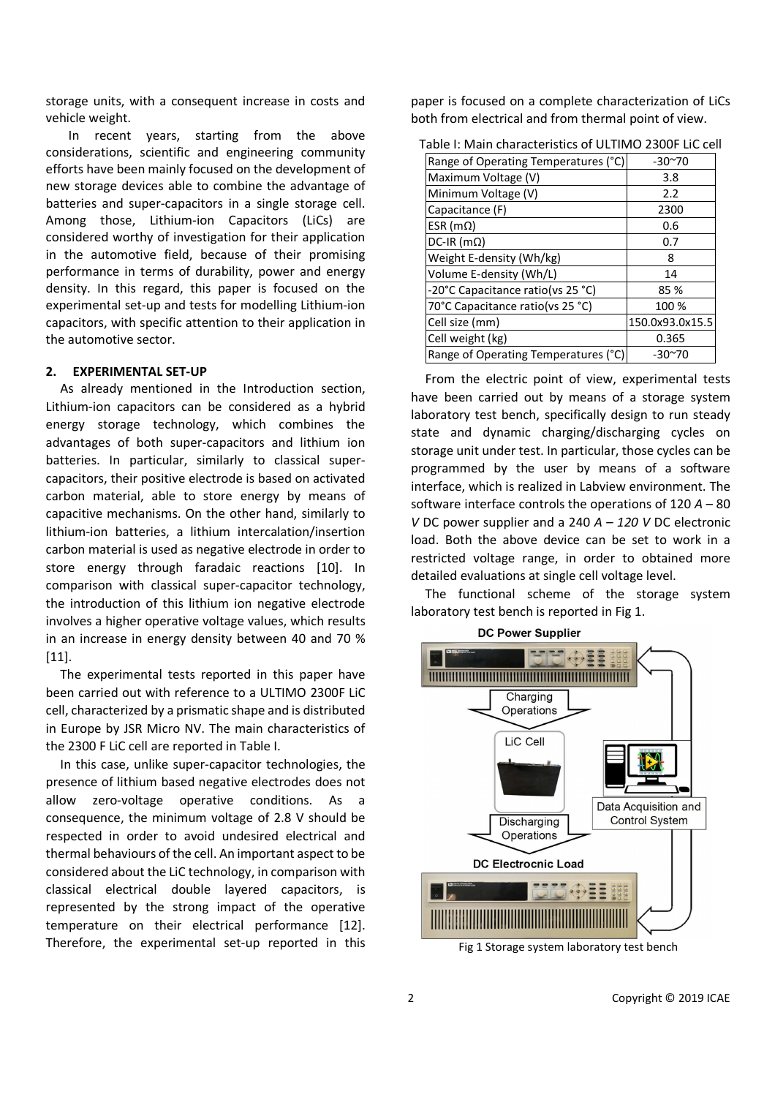storage units, with a consequent increase in costs and vehicle weight.

In recent years, starting from the above considerations, scientific and engineering community efforts have been mainly focused on the development of new storage devices able to combine the advantage of batteries and super-capacitors in a single storage cell. Among those, Lithium-ion Capacitors (LiCs) are considered worthy of investigation for their application in the automotive field, because of their promising performance in terms of durability, power and energy density. In this regard, this paper is focused on the experimental set-up and tests for modelling Lithium-ion capacitors, with specific attention to their application in the automotive sector.

#### **2. EXPERIMENTAL SET-UP**

As already mentioned in the Introduction section, Lithium-ion capacitors can be considered as a hybrid energy storage technology, which combines the advantages of both super-capacitors and lithium ion batteries. In particular, similarly to classical supercapacitors, their positive electrode is based on activated carbon material, able to store energy by means of capacitive mechanisms. On the other hand, similarly to lithium-ion batteries, a lithium intercalation/insertion carbon material is used as negative electrode in order to store energy through faradaic reactions [10]. In comparison with classical super-capacitor technology, the introduction of this lithium ion negative electrode involves a higher operative voltage values, which results in an increase in energy density between 40 and 70 % [11].

The experimental tests reported in this paper have been carried out with reference to a ULTIMO 2300F LiC cell, characterized by a prismatic shape and is distributed in Europe by JSR Micro NV. The main characteristics of the 2300 F LiC cell are reported in Table I.

In this case, unlike super-capacitor technologies, the presence of lithium based negative electrodes does not allow zero-voltage operative conditions. As consequence, the minimum voltage of 2.8 V should be respected in order to avoid undesired electrical and thermal behaviours of the cell. An important aspect to be considered about the LiC technology, in comparison with classical electrical double layered capacitors, is represented by the strong impact of the operative temperature on their electrical performance [12]. Therefore, the experimental set-up reported in this

paper is focused on a complete characterization of LiCs both from electrical and from thermal point of view.

| Range of Operating Temperatures (°C) | $-30^{\sim}70$  |
|--------------------------------------|-----------------|
| Maximum Voltage (V)                  | 3.8             |
| Minimum Voltage (V)                  | 2.2             |
| Capacitance (F)                      | 2300            |
| ESR ( $m\Omega$ )                    | 0.6             |
| $DC-IR$ (m $\Omega$ )                | 0.7             |
| Weight E-density (Wh/kg)             | 8               |
| Volume E-density (Wh/L)              | 14              |
| -20°C Capacitance ratio(vs 25 °C)    | 85 %            |
| 70°C Capacitance ratio(vs 25 °C)     | 100 %           |
| Cell size (mm)                       | 150.0x93.0x15.5 |
| Cell weight (kg)                     | 0.365           |
| Range of Operating Temperatures (°C) | $-30^{\sim}70$  |

Table I: Main characteristics of ULTIMO 2300F LiC cell

From the electric point of view, experimental tests have been carried out by means of a storage system laboratory test bench, specifically design to run steady state and dynamic charging/discharging cycles on storage unit under test. In particular, those cycles can be programmed by the user by means of a software interface, which is realized in Labview environment. The software interface controls the operations of 120 *A* – 80 *V* DC power supplier and a 240 *A – 120 V* DC electronic load. Both the above device can be set to work in a restricted voltage range, in order to obtained more detailed evaluations at single cell voltage level.

The functional scheme of the storage system laboratory test bench is reported in Fig 1.



Fig 1 Storage system laboratory test bench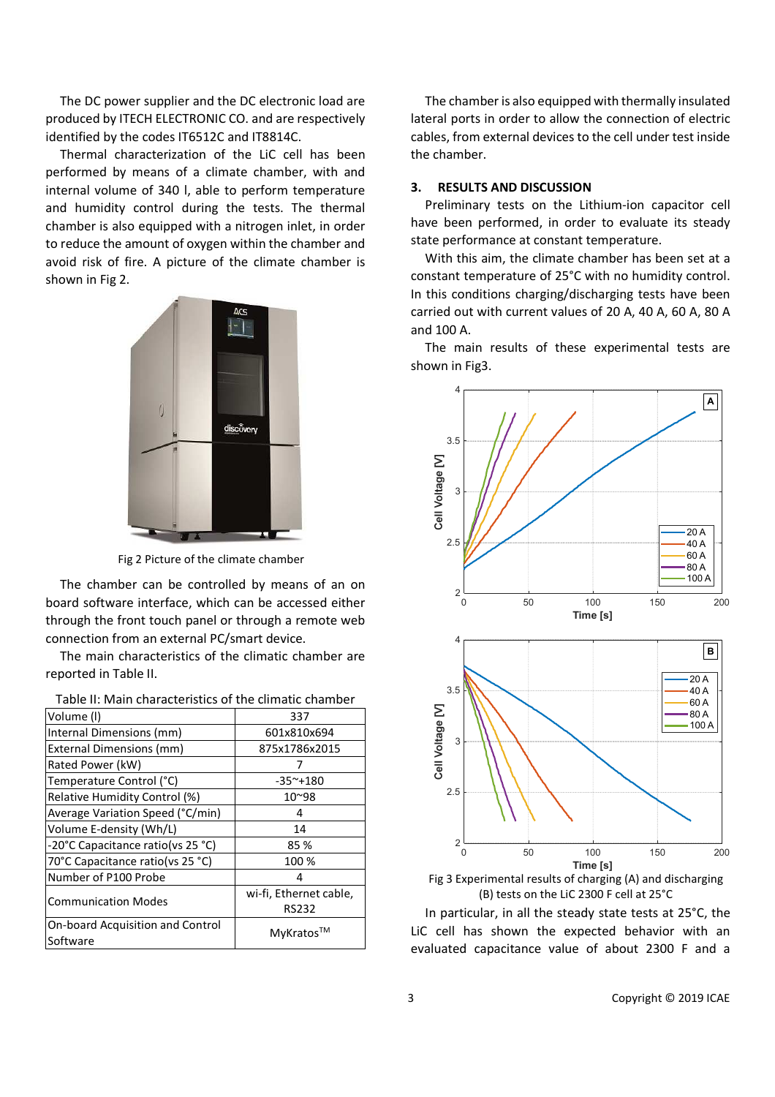The DC power supplier and the DC electronic load are produced by ITECH ELECTRONIC CO. and are respectively identified by the codes IT6512C and IT8814C.

Thermal characterization of the LiC cell has been performed by means of a climate chamber, with and internal volume of 340 l, able to perform temperature and humidity control during the tests. The thermal chamber is also equipped with a nitrogen inlet, in order to reduce the amount of oxygen within the chamber and avoid risk of fire. A picture of the climate chamber is shown in Fig 2.



Fig 2 Picture of the climate chamber

The chamber can be controlled by means of an on board software interface, which can be accessed either through the front touch panel or through a remote web connection from an external PC/smart device.

The main characteristics of the climatic chamber are reported in Table II.

| rabic in ividin characteristics or the cimidate charmocr |                        |  |
|----------------------------------------------------------|------------------------|--|
| Volume (I)                                               | 337                    |  |
| Internal Dimensions (mm)                                 | 601x810x694            |  |
| External Dimensions (mm)                                 | 875x1786x2015          |  |
| Rated Power (kW)                                         |                        |  |
| Temperature Control (°C)                                 | $-35^{\sim}+180$       |  |
| Relative Humidity Control (%)                            | 10~98                  |  |
| Average Variation Speed (°C/min)                         | 4                      |  |
| Volume E-density (Wh/L)                                  | 14                     |  |
| -20°C Capacitance ratio(vs 25 °C)                        | 85%                    |  |
| 70°C Capacitance ratio(vs 25 °C)                         | 100 %                  |  |
| Number of P100 Probe                                     | 4                      |  |
| <b>Communication Modes</b>                               | wi-fi, Ethernet cable, |  |
|                                                          | <b>RS232</b>           |  |
| <b>On-board Acquisition and Control</b>                  | MyKratos™              |  |
| Software                                                 |                        |  |
|                                                          |                        |  |

The chamber is also equipped with thermally insulated lateral ports in order to allow the connection of electric cables, from external devices to the cell under test inside the chamber.

### **3. RESULTS AND DISCUSSION**

Preliminary tests on the Lithium-ion capacitor cell have been performed, in order to evaluate its steady state performance at constant temperature.

With this aim, the climate chamber has been set at a constant temperature of 25°C with no humidity control. In this conditions charging/discharging tests have been carried out with current values of 20 A, 40 A, 60 A, 80 A and 100 A.

The main results of these experimental tests are shown in Fig3.



Fig 3 Experimental results of charging (A) and discharging (B) tests on the LiC 2300 F cell at 25°C

In particular, in all the steady state tests at 25°C, the LiC cell has shown the expected behavior with an evaluated capacitance value of about 2300 F and a